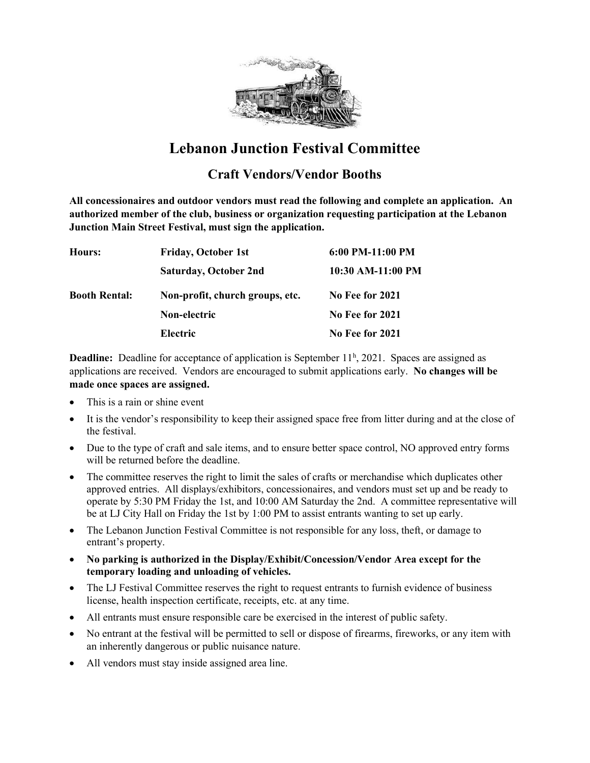

# Lebanon Junction Festival Committee

### Craft Vendors/Vendor Booths

All concessionaires and outdoor vendors must read the following and complete an application. An authorized member of the club, business or organization requesting participation at the Lebanon Junction Main Street Festival, must sign the application.

| Hours:               | <b>Friday, October 1st</b>      | $6:00$ PM-11:00 PM |
|----------------------|---------------------------------|--------------------|
|                      | <b>Saturday, October 2nd</b>    | 10:30 AM-11:00 PM  |
| <b>Booth Rental:</b> | Non-profit, church groups, etc. | No Fee for 2021    |
|                      | Non-electric                    | No Fee for 2021    |
|                      | <b>Electric</b>                 | No Fee for 2021    |

**Deadline:** Deadline for acceptance of application is September  $11<sup>h</sup>$ , 2021. Spaces are assigned as applications are received. Vendors are encouraged to submit applications early. No changes will be made once spaces are assigned.

- This is a rain or shine event
- It is the vendor's responsibility to keep their assigned space free from litter during and at the close of the festival.
- Due to the type of craft and sale items, and to ensure better space control, NO approved entry forms will be returned before the deadline.
- The committee reserves the right to limit the sales of crafts or merchandise which duplicates other approved entries. All displays/exhibitors, concessionaires, and vendors must set up and be ready to operate by 5:30 PM Friday the 1st, and 10:00 AM Saturday the 2nd. A committee representative will be at LJ City Hall on Friday the 1st by 1:00 PM to assist entrants wanting to set up early.
- The Lebanon Junction Festival Committee is not responsible for any loss, theft, or damage to entrant's property.
- No parking is authorized in the Display/Exhibit/Concession/Vendor Area except for the temporary loading and unloading of vehicles.
- The LJ Festival Committee reserves the right to request entrants to furnish evidence of business license, health inspection certificate, receipts, etc. at any time.
- All entrants must ensure responsible care be exercised in the interest of public safety.
- No entrant at the festival will be permitted to sell or dispose of firearms, fireworks, or any item with an inherently dangerous or public nuisance nature.
- All vendors must stay inside assigned area line.